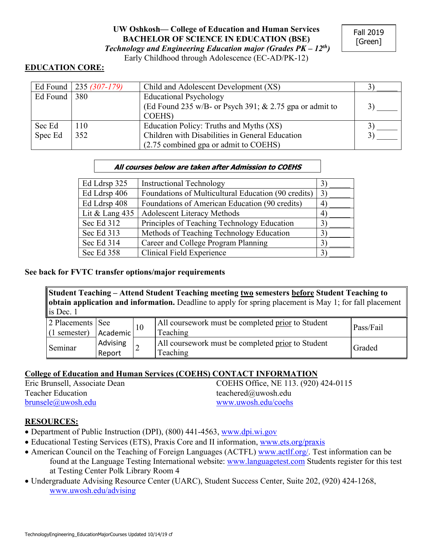# **UW Oshkosh— College of Education and Human Services BACHELOR OF SCIENCE IN EDUCATION (BSE)** *Technology and Engineering Education major (Grades PK – 12th)*

Early Childhood through Adolescence (EC-AD/PK-12)

## **EDUCATION CORE:**

|          | Ed Found   235 $(307-179)$ | Child and Adolescent Development (XS)                     |  |
|----------|----------------------------|-----------------------------------------------------------|--|
| Ed Found | 380                        | <b>Educational Psychology</b>                             |  |
|          |                            | (Ed Found 235 w/B- or Psych 391; $& 2.75$ gpa or admit to |  |
|          |                            | COEHS)                                                    |  |
| Sec Ed   | 110                        | Education Policy: Truths and Myths (XS)                   |  |
| Spec Ed  | 352                        | Children with Disabilities in General Education           |  |
|          |                            | (2.75 combined gpa or admit to COEHS)                     |  |

### **All courses below are taken after Admission to COEHS**

| Ed Ldrsp 325     | <b>Instructional Technology</b>                     | $3^{\circ}$    |
|------------------|-----------------------------------------------------|----------------|
| Ed Ldrsp 406     | Foundations of Multicultural Education (90 credits) | $\mathfrak{Z}$ |
| Ed Ldrsp 408     | Foundations of American Education (90 credits)      | 4              |
| Lit & Lang $435$ | <b>Adolescent Literacy Methods</b>                  | 4              |
| Sec Ed 312       | Principles of Teaching Technology Education         | $3^{\circ}$    |
| Sec Ed 313       | Methods of Teaching Technology Education            | 3              |
| Sec Ed 314       | Career and College Program Planning                 | $3^{\circ}$    |
| Sec Ed 358       | Clinical Field Experience                           | 3              |

### **See back for FVTC transfer options/major requirements**

**Student Teaching – Attend Student Teaching meeting two semesters before Student Teaching to obtain application and information.** Deadline to apply for spring placement is May 1; for fall placement l is Dec. 1

| 2 Placements   See<br>$(1$ semester) | Academic           | All coursework must be completed prior to Student<br>Teaching | Pass/Fail |
|--------------------------------------|--------------------|---------------------------------------------------------------|-----------|
| Seminar                              | Advising<br>Report | All coursework must be completed prior to Student<br>Teaching | Graded    |

### **College of Education and Human Services (COEHS) CONTACT INFORMATION**

| Eric Brunsell, Associate Dean | COEHS Office, NE 113. (920) 424-0115 |
|-------------------------------|--------------------------------------|
| <b>Teacher Education</b>      | teachered@uwosh.edu                  |
| brunsele@uwosh.edu            | www.uwosh.edu/coehs                  |

### **RESOURCES:**

- Department of Public Instruction (DPI), (800) 441-4563, www.dpi.wi.gov
- Educational Testing Services (ETS), Praxis Core and II information, www.ets.org/praxis
- American Council on the Teaching of Foreign Languages (ACTFL) www.actlf.org/. Test information can be found at the Language Testing International website: www.languagetest.com Students register for this test at Testing Center Polk Library Room 4
- Undergraduate Advising Resource Center (UARC), Student Success Center, Suite 202, (920) 424-1268, www.uwosh.edu/advising